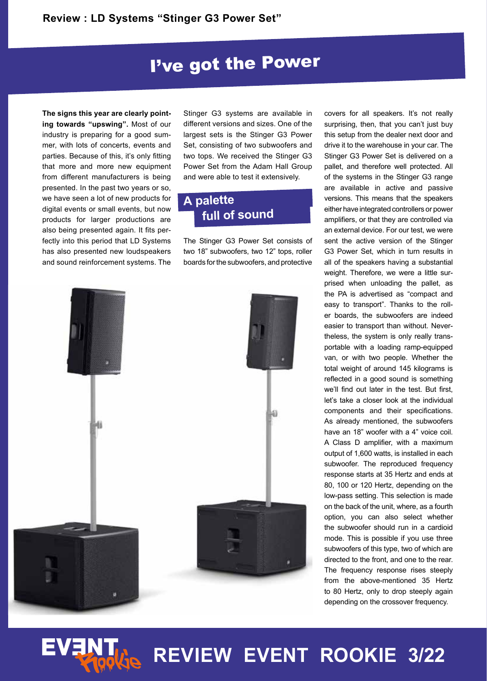## I've got the Power

**The signs this year are clearly pointing towards "upswing".** Most of our industry is preparing for a good summer, with lots of concerts, events and parties. Because of this, it's only fitting that more and more new equipment from different manufacturers is being presented. In the past two years or so, we have seen a lot of new products for digital events or small events, but now products for larger productions are also being presented again. It fits perfectly into this period that LD Systems has also presented new loudspeakers and sound reinforcement systems. The

Stinger G3 systems are available in different versions and sizes. One of the largest sets is the Stinger G3 Power Set, consisting of two subwoofers and two tops. We received the Stinger G3 Power Set from the Adam Hall Group and were able to test it extensively.

### **A palette full of sound**

The Stinger G3 Power Set consists of two 18" subwoofers, two 12" tops, roller boards for the subwoofers, and protective



covers for all speakers. It's not really surprising, then, that you can't just buy this setup from the dealer next door and drive it to the warehouse in your car. The Stinger G3 Power Set is delivered on a pallet, and therefore well protected. All of the systems in the Stinger G3 range are available in active and passive versions. This means that the speakers either have integrated controllers or power amplifiers, or that they are controlled via an external device. For our test, we were sent the active version of the Stinger G3 Power Set, which in turn results in all of the speakers having a substantial weight. Therefore, we were a little surprised when unloading the pallet, as the PA is advertised as "compact and easy to transport". Thanks to the roller boards, the subwoofers are indeed easier to transport than without. Nevertheless, the system is only really transportable with a loading ramp-equipped van, or with two people. Whether the total weight of around 145 kilograms is reflected in a good sound is something we'll find out later in the test. But first, let's take a closer look at the individual components and their specifications. As already mentioned, the subwoofers have an 18" woofer with a 4" voice coil. A Class D amplifier, with a maximum output of 1,600 watts, is installed in each subwoofer. The reproduced frequency response starts at 35 Hertz and ends at 80, 100 or 120 Hertz, depending on the low-pass setting. This selection is made on the back of the unit, where, as a fourth option, you can also select whether the subwoofer should run in a cardioid mode. This is possible if you use three subwoofers of this type, two of which are directed to the front, and one to the rear. The frequency response rises steeply from the above-mentioned 35 Hertz to 80 Hertz, only to drop steeply again depending on the crossover frequency.

**EVENT REVIEW EVENT ROOKIE 3/22**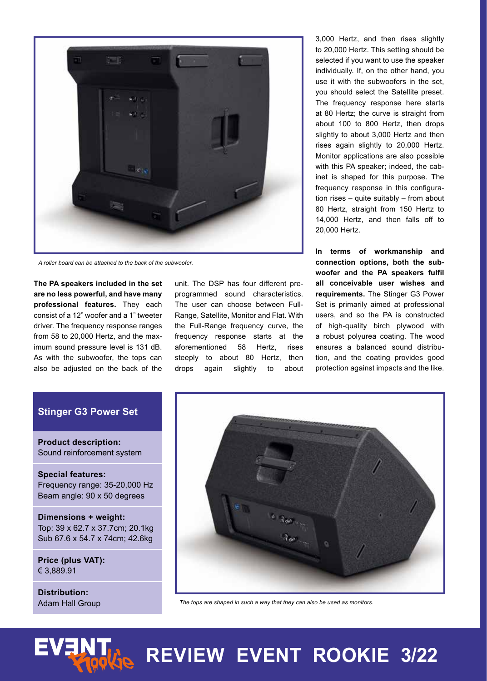

*A roller board can be attached to the back of the subwoofer.*

**The PA speakers included in the set are no less powerful, and have many professional features.** They each consist of a 12" woofer and a 1" tweeter driver. The frequency response ranges from 58 to 20,000 Hertz, and the maximum sound pressure level is 131 dB. As with the subwoofer, the tops can also be adjusted on the back of the

unit. The DSP has four different preprogrammed sound characteristics. The user can choose between Full-Range, Satellite, Monitor and Flat. With the Full-Range frequency curve, the frequency response starts at the aforementioned 58 Hertz, rises steeply to about 80 Hertz, then drops again slightly to about

3,000 Hertz, and then rises slightly to 20,000 Hertz. This setting should be selected if you want to use the speaker individually. If, on the other hand, you use it with the subwoofers in the set, you should select the Satellite preset. The frequency response here starts at 80 Hertz; the curve is straight from about 100 to 800 Hertz, then drops slightly to about 3,000 Hertz and then rises again slightly to 20,000 Hertz. Monitor applications are also possible with this PA speaker; indeed, the cabinet is shaped for this purpose. The frequency response in this configuration rises – quite suitably – from about 80 Hertz, straight from 150 Hertz to 14,000 Hertz, and then falls off to 20,000 Hertz.

**In terms of workmanship and connection options, both the subwoofer and the PA speakers fulfil all conceivable user wishes and requirements.** The Stinger G3 Power Set is primarily aimed at professional users, and so the PA is constructed of high-quality birch plywood with a robust polyurea coating. The wood ensures a balanced sound distribution, and the coating provides good protection against impacts and the like.

#### **Stinger G3 Power Set**

**Product description:** Sound reinforcement system

**Special features:** Frequency range: 35-20,000 Hz Beam angle: 90 x 50 degrees

**Dimensions + weight:** Top: 39 x 62.7 x 37.7cm; 20.1kg Sub 67.6 x 54.7 x 74cm; 42.6kg

**Price (plus VAT):** € 3,889.91

**Distribution:** Adam Hall Group



*The tops are shaped in such a way that they can also be used as monitors.*



# **REVIEW EVENT ROOKIE 3/22**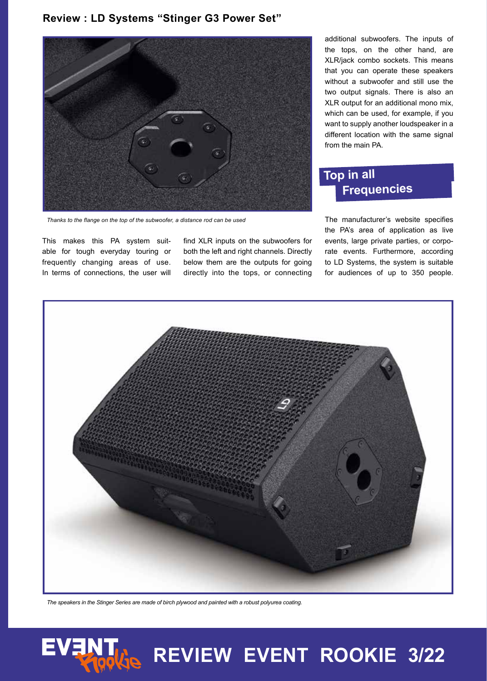#### **Review : LD Systems "Stinger G3 Power Set"**



*Thanks to the flange on the top of the subwoofer, a distance rod can be used*

This makes this PA system suitable for tough everyday touring or frequently changing areas of use. In terms of connections, the user will find XLR inputs on the subwoofers for both the left and right channels. Directly below them are the outputs for going directly into the tops, or connecting

additional subwoofers. The inputs of the tops, on the other hand, are XLR/jack combo sockets. This means that you can operate these speakers without a subwoofer and still use the two output signals. There is also an XLR output for an additional mono mix, which can be used, for example, if you want to supply another loudspeaker in a different location with the same signal from the main PA.

## **Top in all Frequencies**

The manufacturer's website specifies the PA's area of application as live events, large private parties, or corporate events. Furthermore, according to LD Systems, the system is suitable for audiences of up to 350 people.



*The speakers in the Stinger Series are made of birch plywood and painted with a robust polyurea coating.*



# **REVIEW EVENT ROOKIE 3/22**